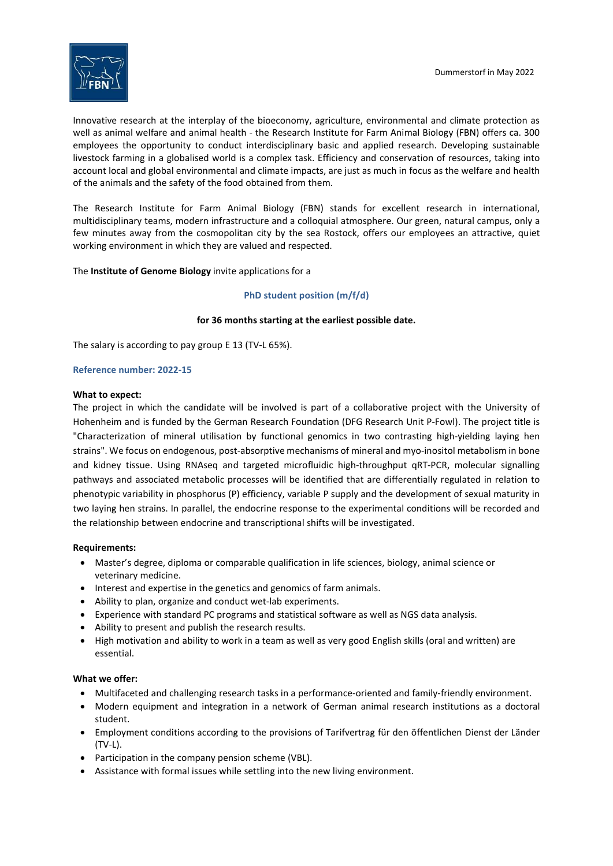

Innovative research at the interplay of the bioeconomy, agriculture, environmental and climate protection as well as animal welfare and animal health - the Research Institute for Farm Animal Biology (FBN) offers ca. 300 employees the opportunity to conduct interdisciplinary basic and applied research. Developing sustainable livestock farming in a globalised world is a complex task. Efficiency and conservation of resources, taking into account local and global environmental and climate impacts, are just as much in focus as the welfare and health of the animals and the safety of the food obtained from them.

The Research Institute for Farm Animal Biology (FBN) stands for excellent research in international, multidisciplinary teams, modern infrastructure and a colloquial atmosphere. Our green, natural campus, only a few minutes away from the cosmopolitan city by the sea Rostock, offers our employees an attractive, quiet working environment in which they are valued and respected.

The Institute of Genome Biology invite applications for a

# PhD student position (m/f/d)

# for 36 months starting at the earliest possible date.

The salary is according to pay group E 13 (TV-L 65%).

## Reference number: 2022-15

## What to expect:

The project in which the candidate will be involved is part of a collaborative project with the University of Hohenheim and is funded by the German Research Foundation (DFG Research Unit P-Fowl). The project title is "Characterization of mineral utilisation by functional genomics in two contrasting high-yielding laying hen strains". We focus on endogenous, post-absorptive mechanisms of mineral and myo-inositol metabolism in bone and kidney tissue. Using RNAseq and targeted microfluidic high-throughput qRT-PCR, molecular signalling pathways and associated metabolic processes will be identified that are differentially regulated in relation to phenotypic variability in phosphorus (P) efficiency, variable P supply and the development of sexual maturity in two laying hen strains. In parallel, the endocrine response to the experimental conditions will be recorded and the relationship between endocrine and transcriptional shifts will be investigated.

## Requirements:

- Master's degree, diploma or comparable qualification in life sciences, biology, animal science or veterinary medicine.
- Interest and expertise in the genetics and genomics of farm animals.
- Ability to plan, organize and conduct wet-lab experiments.
- Experience with standard PC programs and statistical software as well as NGS data analysis.
- Ability to present and publish the research results.
- High motivation and ability to work in a team as well as very good English skills (oral and written) are essential.

## What we offer:

- Multifaceted and challenging research tasks in a performance-oriented and family-friendly environment.
- Modern equipment and integration in a network of German animal research institutions as a doctoral student.
- Employment conditions according to the provisions of Tarifvertrag für den öffentlichen Dienst der Länder (TV-L).
- Participation in the company pension scheme (VBL).
- Assistance with formal issues while settling into the new living environment.